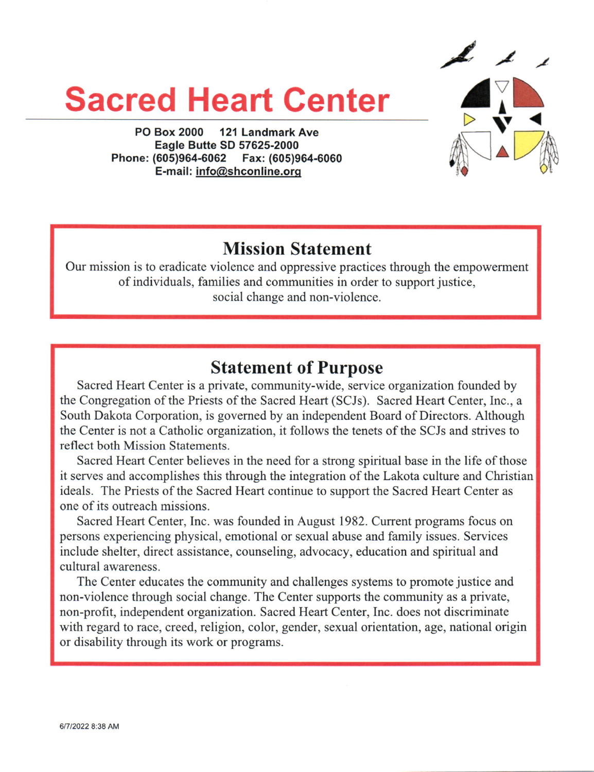# Sacred Heart Center



PO Box 2000 121 Landmark Ave Eagle Butte SD 57625-2000 Phone:(605)964.6062 Fax: (605)964-6060 E-mail: info@shconline.orq

## Mission Statement

Our mission is to eradicate violence and oppressive practices through the empowerment of individuals, families and communities in order to support justice, social change and non-violence.

## Statement of Purpose

Sacred Heart Center is a private, community-wide, service organization founded by the Congregation of the Priests of the Sacred Heart (SCJs). Sacred Heart Center, Inc., a South Dakota Corporation, is governed by an independent Board of Directors. Although the Center is not a Catholic organization, it follows the tenets of the SCJs and strives to reflect both Mission Statements.

Sacred Heart Center believes in the need for a strong spiritual base in the life of those it serves and accomplishes this through the integration of the Lakota culture and Christian ideals. The Priests of the Sacred Heart continue to support the Sacred Heart Center as one of its outreach missions.

Sacred Heart Center, Inc. was founded in August 1982. Current programs focus on persons experiencing physical, emotional or sexual abuse and family issues. Services include shelter, direct assistance, counseling, advocacy, education and spiritual and cultural awareness.

The Center educates the community and challenges systems to promote justice and non-violence through social change. The Center supports the community as a private, non-profit, independent organization. Sacred Heart Center, Inc. does not discriminate with regard to race, creed, religion, color, gender, sexual orientation, age, national origin or disability through its work or programs.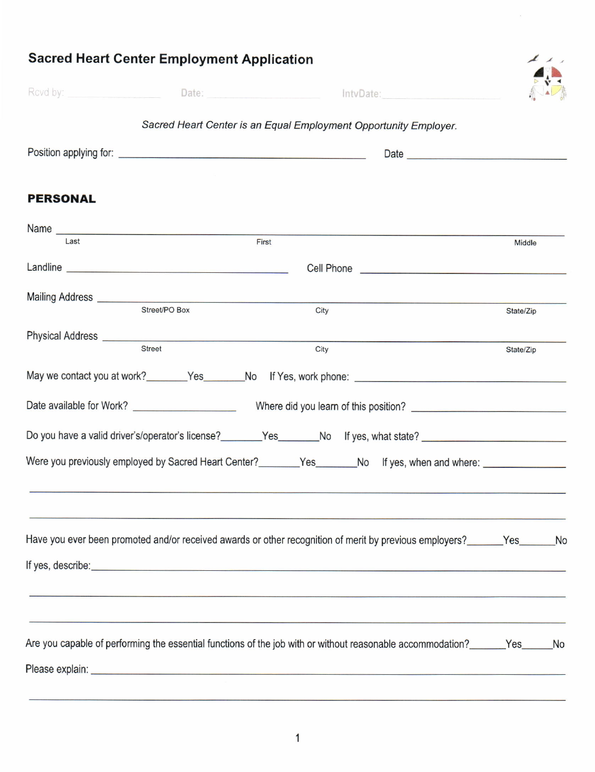|                                                                                                                                                                                                                                      | Date: htvDate: htvDate:                                                          |           |  |  |  |  |  |  |
|--------------------------------------------------------------------------------------------------------------------------------------------------------------------------------------------------------------------------------------|----------------------------------------------------------------------------------|-----------|--|--|--|--|--|--|
| Sacred Heart Center is an Equal Employment Opportunity Employer.                                                                                                                                                                     |                                                                                  |           |  |  |  |  |  |  |
|                                                                                                                                                                                                                                      |                                                                                  |           |  |  |  |  |  |  |
| <b>PERSONAL</b>                                                                                                                                                                                                                      |                                                                                  |           |  |  |  |  |  |  |
| Name Name<br>Last                                                                                                                                                                                                                    | First                                                                            | Middle    |  |  |  |  |  |  |
| Landline experience and the state of the state of the state of the state of the state of the state of the state of the state of the state of the state of the state of the state of the state of the state of the state of the       |                                                                                  |           |  |  |  |  |  |  |
|                                                                                                                                                                                                                                      |                                                                                  |           |  |  |  |  |  |  |
| Street/PO Box                                                                                                                                                                                                                        | City                                                                             | State/Zip |  |  |  |  |  |  |
|                                                                                                                                                                                                                                      |                                                                                  |           |  |  |  |  |  |  |
| <b>Street</b>                                                                                                                                                                                                                        | City                                                                             | State/Zip |  |  |  |  |  |  |
|                                                                                                                                                                                                                                      |                                                                                  |           |  |  |  |  |  |  |
|                                                                                                                                                                                                                                      |                                                                                  |           |  |  |  |  |  |  |
| Do you have a valid driver's/operator's license?________Yes_______No If yes, what state? _____________________                                                                                                                       |                                                                                  |           |  |  |  |  |  |  |
| Were you previously employed by Sacred Heart Center?________Yes_______No If yes, when and where: _____________                                                                                                                       |                                                                                  |           |  |  |  |  |  |  |
|                                                                                                                                                                                                                                      |                                                                                  |           |  |  |  |  |  |  |
|                                                                                                                                                                                                                                      |                                                                                  |           |  |  |  |  |  |  |
| Have you ever been promoted and/or received awards or other recognition of merit by previous employers?<br>No                                                                                                                        |                                                                                  |           |  |  |  |  |  |  |
|                                                                                                                                                                                                                                      |                                                                                  |           |  |  |  |  |  |  |
| If yes, describe: <u>contract the contract of the contract of the contract of the contract of the contract of the contract of the contract of the contract of the contract of the contract of the contract of the contract of th</u> |                                                                                  |           |  |  |  |  |  |  |
|                                                                                                                                                                                                                                      |                                                                                  |           |  |  |  |  |  |  |
|                                                                                                                                                                                                                                      | ,我们也不能会在这里的,我们也不能会在这里的,我们也不能会在这里的,我们也不能会在这里,我们也不能会在这里的。""我们,我们也不能会不能会不能会。""我们,我们 |           |  |  |  |  |  |  |
| Are you capable of performing the essential functions of the job with or without reasonable accommodation? Yes No                                                                                                                    |                                                                                  |           |  |  |  |  |  |  |
|                                                                                                                                                                                                                                      |                                                                                  |           |  |  |  |  |  |  |

 $\blacktriangle$ 

 $\lambda$ 

# Sacred Heart Center Employment Application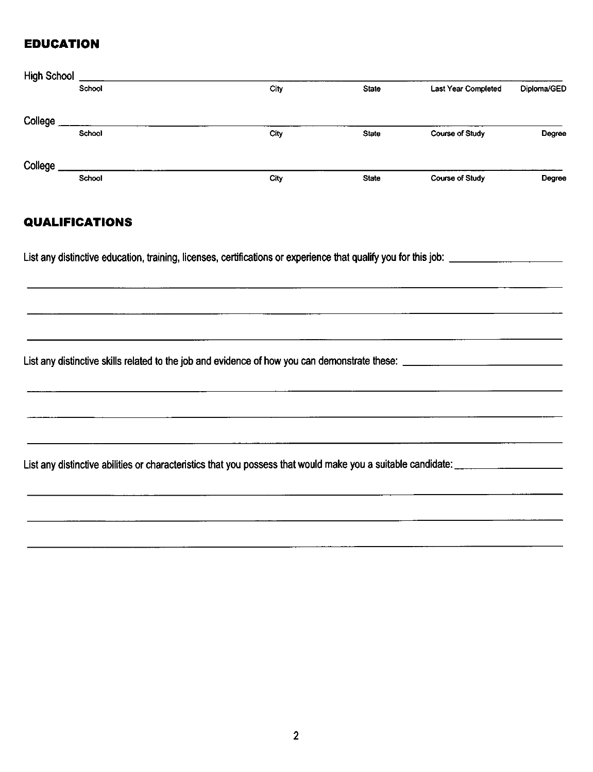### **EDUCATION**

| <b>High School</b> |        |      |              |                        |             |
|--------------------|--------|------|--------------|------------------------|-------------|
|                    | School | City | <b>State</b> | Last Year Completed    | Diploma/GED |
| College            |        |      |              |                        |             |
|                    | School | City | <b>State</b> | Course of Study        | Degree      |
| College            |        |      |              |                        |             |
|                    | School | City | <b>State</b> | <b>Course of Study</b> | Degree      |

### **QUALIFICATIONS**

List any distinctive abilities or characteristics that you possess that would make you a suitable candidate: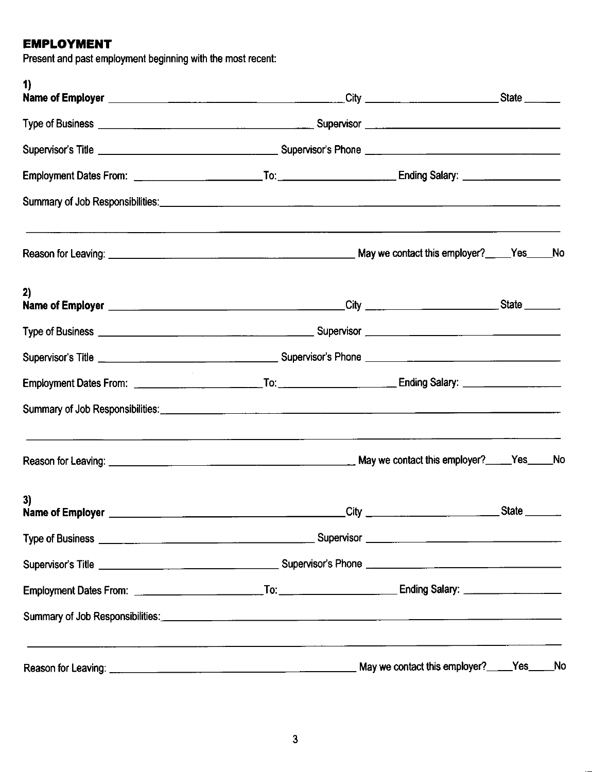## EMPLOYMENT

Present and past employment beginning with the most recent:

| 1)                                                                                                                                                                                                                                   |                             |                                          |              |     |
|--------------------------------------------------------------------------------------------------------------------------------------------------------------------------------------------------------------------------------------|-----------------------------|------------------------------------------|--------------|-----|
|                                                                                                                                                                                                                                      |                             |                                          |              |     |
|                                                                                                                                                                                                                                      |                             |                                          |              |     |
|                                                                                                                                                                                                                                      |                             |                                          |              |     |
| Summary of Job Responsibilities: <u>Community of the Community of The Community of Job Responsibilities:</u>                                                                                                                         |                             |                                          |              |     |
|                                                                                                                                                                                                                                      |                             |                                          |              |     |
| 2)                                                                                                                                                                                                                                   |                             |                                          |              |     |
|                                                                                                                                                                                                                                      |                             |                                          |              |     |
|                                                                                                                                                                                                                                      |                             |                                          |              |     |
|                                                                                                                                                                                                                                      |                             |                                          |              |     |
|                                                                                                                                                                                                                                      |                             |                                          |              |     |
|                                                                                                                                                                                                                                      |                             |                                          |              |     |
| 3)<br>Name of Employer ________                                                                                                                                                                                                      | $\overline{\rm C}$ ity $\_$ |                                          | <b>State</b> |     |
|                                                                                                                                                                                                                                      |                             |                                          |              |     |
|                                                                                                                                                                                                                                      |                             |                                          |              |     |
|                                                                                                                                                                                                                                      |                             |                                          |              |     |
| Summary of Job Responsibilities: <u>Communications and the set of the set of the set of the set of the set of the set of the set of the set of the set of the set of the set of the set of the set of the set of the set of the </u> |                             |                                          |              |     |
|                                                                                                                                                                                                                                      |                             | May we contact this employer?____Yes____ |              | _Nc |